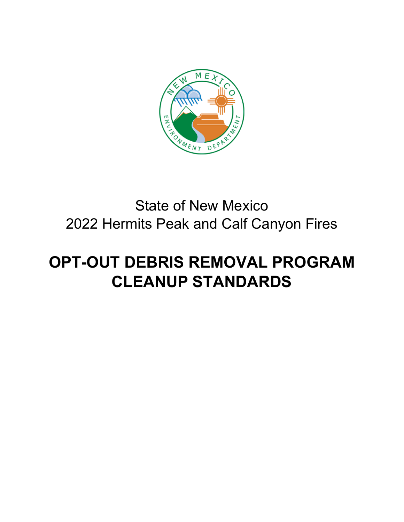

# State of New Mexico 2022 Hermits Peak and Calf Canyon Fires

# **OPT-OUT DEBRIS REMOVAL PROGRAM CLEANUP STANDARDS**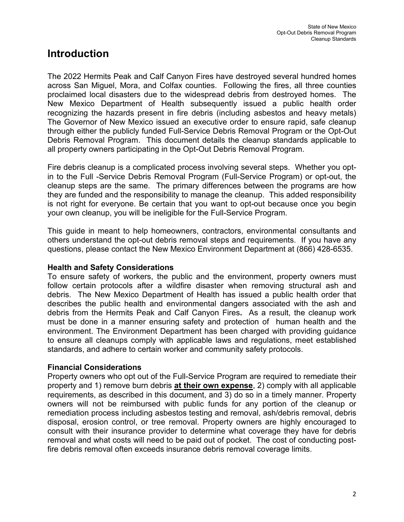## **Introduction**

The 2022 Hermits Peak and Calf Canyon Fires have destroyed several hundred homes across San Miguel, Mora, and Colfax counties. Following the fires, all three counties proclaimed local disasters due to the widespread debris from destroyed homes. The New Mexico Department of Health subsequently issued a public health order recognizing the hazards present in fire debris (including asbestos and heavy metals) The Governor of New Mexico issued an executive order to ensure rapid, safe cleanup through either the publicly funded Full-Service Debris Removal Program or the Opt-Out Debris Removal Program. This document details the cleanup standards applicable to all property owners participating in the Opt-Out Debris Removal Program.

Fire debris cleanup is a complicated process involving several steps. Whether you optin to the Full -Service Debris Removal Program (Full-Service Program) or opt-out, the cleanup steps are the same. The primary differences between the programs are how they are funded and the responsibility to manage the cleanup. This added responsibility is not right for everyone. Be certain that you want to opt-out because once you begin your own cleanup, you will be ineligible for the Full-Service Program.

This guide in meant to help homeowners, contractors, environmental consultants and others understand the opt-out debris removal steps and requirements. If you have any questions, please contact the New Mexico Environment Department at (866) 428-6535.

#### **Health and Safety Considerations**

To ensure safety of workers, the public and the environment, property owners must follow certain protocols after a wildfire disaster when removing structural ash and debris. The New Mexico Department of Health has issued a public health order that describes the public health and environmental dangers associated with the ash and debris from the Hermits Peak and Calf Canyon Fires**.** As a result, the cleanup work must be done in a manner ensuring safety and protection of human health and the environment. The Environment Department has been charged with providing guidance to ensure all cleanups comply with applicable laws and regulations, meet established standards, and adhere to certain worker and community safety protocols.

#### **Financial Considerations**

Property owners who opt out of the Full-Service Program are required to remediate their property and 1) remove burn debris **at their own expense**, 2) comply with all applicable requirements, as described in this document, and 3) do so in a timely manner. Property owners will not be reimbursed with public funds for any portion of the cleanup or remediation process including asbestos testing and removal, ash/debris removal, debris disposal, erosion control, or tree removal. Property owners are highly encouraged to consult with their insurance provider to determine what coverage they have for debris removal and what costs will need to be paid out of pocket. The cost of conducting postfire debris removal often exceeds insurance debris removal coverage limits.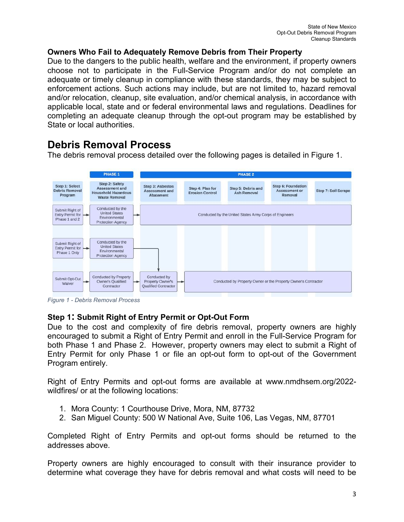#### **Owners Who Fail to Adequately Remove Debris from Their Property**

Due to the dangers to the public health, welfare and the environment, if property owners choose not to participate in the Full-Service Program and/or do not complete an adequate or timely cleanup in compliance with these standards, they may be subject to enforcement actions. Such actions may include, but are not limited to, hazard removal and/or relocation, cleanup, site evaluation, and/or chemical analysis, in accordance with applicable local, state and or federal environmental laws and regulations. Deadlines for completing an adequate cleanup through the opt-out program may be established by State or local authorities.

## **Debris Removal Process**

The debris removal process detailed over the following pages is detailed in Figure 1.



*Figure 1 - Debris Removal Process*

#### **Step 1: Submit Right of Entry Permit or Opt-Out Form**

Due to the cost and complexity of fire debris removal, property owners are highly encouraged to submit a Right of Entry Permit and enroll in the Full-Service Program for both Phase 1 and Phase 2. However, property owners may elect to submit a Right of Entry Permit for only Phase 1 or file an opt-out form to opt-out of the Government Program entirely.

Right of Entry Permits and opt-out forms are available at www.nmdhsem.org/2022 wildfires/ or at the following locations:

- 1. Mora County: 1 Courthouse Drive, Mora, NM, 87732
- 2. San Miguel County: 500 W National Ave, Suite 106, Las Vegas, NM, 87701

Completed Right of Entry Permits and opt-out forms should be returned to the addresses above.

Property owners are highly encouraged to consult with their insurance provider to determine what coverage they have for debris removal and what costs will need to be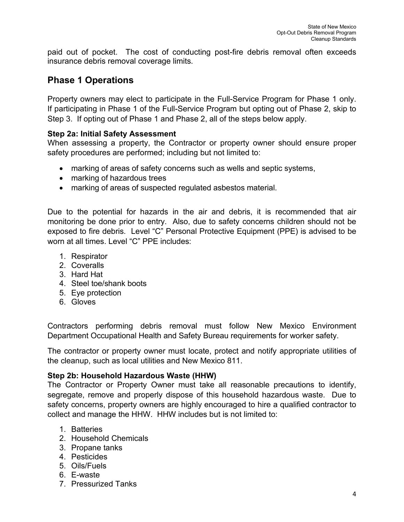paid out of pocket. The cost of conducting post-fire debris removal often exceeds insurance debris removal coverage limits.

### **Phase 1 Operations**

Property owners may elect to participate in the Full-Service Program for Phase 1 only. If participating in Phase 1 of the Full-Service Program but opting out of Phase 2, skip to Step 3. If opting out of Phase 1 and Phase 2, all of the steps below apply.

#### **Step 2a: Initial Safety Assessment**

When assessing a property, the Contractor or property owner should ensure proper safety procedures are performed; including but not limited to:

- marking of areas of safety concerns such as wells and septic systems,
- marking of hazardous trees
- marking of areas of suspected regulated asbestos material.

Due to the potential for hazards in the air and debris, it is recommended that air monitoring be done prior to entry. Also, due to safety concerns children should not be exposed to fire debris. Level "C" Personal Protective Equipment (PPE) is advised to be worn at all times. Level "C" PPE includes:

- 1. Respirator
- 2. Coveralls
- 3. Hard Hat
- 4. Steel toe/shank boots
- 5. Eye protection
- 6. Gloves

Contractors performing debris removal must follow New Mexico Environment Department Occupational Health and Safety Bureau requirements for worker safety.

The contractor or property owner must locate, protect and notify appropriate utilities of the cleanup, such as local utilities and New Mexico 811.

#### **Step 2b: Household Hazardous Waste (HHW)**

The Contractor or Property Owner must take all reasonable precautions to identify, segregate, remove and properly dispose of this household hazardous waste. Due to safety concerns, property owners are highly encouraged to hire a qualified contractor to collect and manage the HHW. HHW includes but is not limited to:

- 1. Batteries
- 2. Household Chemicals
- 3. Propane tanks
- 4. Pesticides
- 5. Oils/Fuels
- 6. E-waste
- 7. Pressurized Tanks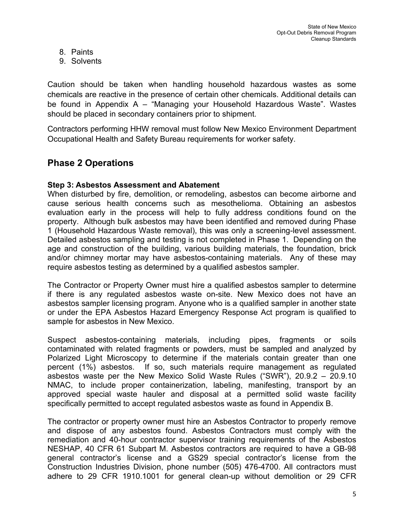- 8. Paints
- 9. Solvents

Caution should be taken when handling household hazardous wastes as some chemicals are reactive in the presence of certain other chemicals. Additional details can be found in Appendix A – "Managing your Household Hazardous Waste". Wastes should be placed in secondary containers prior to shipment.

Contractors performing HHW removal must follow New Mexico Environment Department Occupational Health and Safety Bureau requirements for worker safety.

## **Phase 2 Operations**

#### **Step 3: Asbestos Assessment and Abatement**

When disturbed by fire, demolition, or remodeling, asbestos can become airborne and cause serious health concerns such as mesothelioma. Obtaining an asbestos evaluation early in the process will help to fully address conditions found on the property. Although bulk asbestos may have been identified and removed during Phase 1 (Household Hazardous Waste removal), this was only a screening-level assessment. Detailed asbestos sampling and testing is not completed in Phase 1. Depending on the age and construction of the building, various building materials, the foundation, brick and/or chimney mortar may have asbestos-containing materials. Any of these may require asbestos testing as determined by a qualified asbestos sampler.

The Contractor or Property Owner must hire a qualified asbestos sampler to determine if there is any regulated asbestos waste on-site. New Mexico does not have an asbestos sampler licensing program. Anyone who is a qualified sampler in another state or under the EPA Asbestos Hazard Emergency Response Act program is qualified to sample for asbestos in New Mexico.

Suspect asbestos-containing materials, including pipes, fragments or soils contaminated with related fragments or powders, must be sampled and analyzed by Polarized Light Microscopy to determine if the materials contain greater than one percent (1%) asbestos. If so, such materials require management as regulated asbestos waste per the New Mexico Solid Waste Rules ("SWR"), 20.9.2 – 20.9.10 NMAC, to include proper containerization, labeling, manifesting, transport by an approved special waste hauler and disposal at a permitted solid waste facility specifically permitted to accept regulated asbestos waste as found in Appendix B.

The contractor or property owner must hire an Asbestos Contractor to properly remove and dispose of any asbestos found. Asbestos Contractors must comply with the remediation and 40-hour contractor supervisor training requirements of the Asbestos NESHAP, 40 CFR 61 Subpart M. Asbestos contractors are required to have a GB-98 general contractor's license and a GS29 special contractor's license from the Construction Industries Division, phone number (505) 476-4700. All contractors must adhere to 29 CFR 1910.1001 for general clean-up without demolition or 29 CFR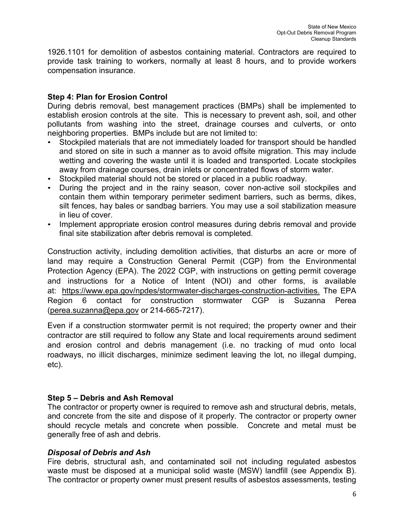1926.1101 for demolition of asbestos containing material. Contractors are required to provide task training to workers, normally at least 8 hours, and to provide workers compensation insurance.

#### **Step 4: Plan for Erosion Control**

During debris removal, best management practices (BMPs) shall be implemented to establish erosion controls at the site. This is necessary to prevent ash, soil, and other pollutants from washing into the street, drainage courses and culverts, or onto neighboring properties. BMPs include but are not limited to:

- Stockpiled materials that are not immediately loaded for transport should be handled and stored on site in such a manner as to avoid offsite migration. This may include wetting and covering the waste until it is loaded and transported. Locate stockpiles away from drainage courses, drain inlets or concentrated flows of storm water.
- Stockpiled material should not be stored or placed in a public roadway.
- During the project and in the rainy season, cover non-active soil stockpiles and contain them within temporary perimeter sediment barriers, such as berms, dikes, silt fences, hay bales or sandbag barriers. You may use a soil stabilization measure in lieu of cover.
- Implement appropriate erosion control measures during debris removal and provide final site stabilization after debris removal is completed.

Construction activity, including demolition activities, that disturbs an acre or more of land may require a Construction General Permit (CGP) from the Environmental Protection Agency (EPA). The 2022 CGP, with instructions on getting permit coverage and instructions for a Notice of Intent (NOI) and other forms, is available at: [https://www.epa.gov/npdes/stormwater-discharges-construction-activities.](https://www.epa.gov/npdes/stormwater-discharges-construction-activities) The EPA Region 6 contact for construction stormwater CGP is Suzanna Perea [\(perea.suzanna@epa.gov](mailto:perea.suzanna@epa.gov) or 214-665-7217).

Even if a construction stormwater permit is not required; the property owner and their contractor are still required to follow any State and local requirements around sediment and erosion control and debris management (i.e. no tracking of mud onto local roadways, no illicit discharges, minimize sediment leaving the lot, no illegal dumping, etc).

#### **Step 5 – Debris and Ash Removal**

The contractor or property owner is required to remove ash and structural debris, metals, and concrete from the site and dispose of it properly. The contractor or property owner should recycle metals and concrete when possible. Concrete and metal must be generally free of ash and debris.

#### *Disposal of Debris and Ash*

Fire debris, structural ash, and contaminated soil not including regulated asbestos waste must be disposed at a municipal solid waste (MSW) landfill (see Appendix B). The contractor or property owner must present results of asbestos assessments, testing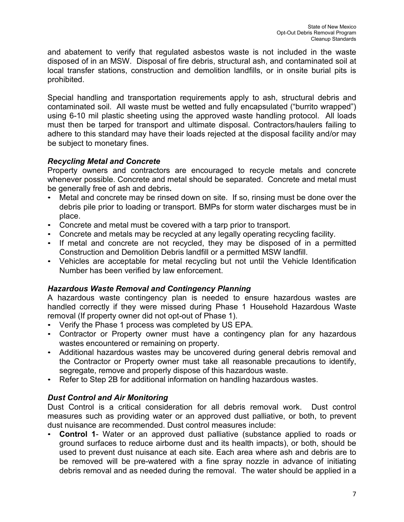and abatement to verify that regulated asbestos waste is not included in the waste disposed of in an MSW. Disposal of fire debris, structural ash, and contaminated soil at local transfer stations, construction and demolition landfills, or in onsite burial pits is prohibited.

Special handling and transportation requirements apply to ash, structural debris and contaminated soil. All waste must be wetted and fully encapsulated ("burrito wrapped") using 6-10 mil plastic sheeting using the approved waste handling protocol. All loads must then be tarped for transport and ultimate disposal. Contractors/haulers failing to adhere to this standard may have their loads rejected at the disposal facility and/or may be subject to monetary fines.

#### *Recycling Metal and Concrete*

Property owners and contractors are encouraged to recycle metals and concrete whenever possible. Concrete and metal should be separated. Concrete and metal must be generally free of ash and debris**.**

- Metal and concrete may be rinsed down on site. If so, rinsing must be done over the debris pile prior to loading or transport. BMPs for storm water discharges must be in place.
- Concrete and metal must be covered with a tarp prior to transport.
- Concrete and metals may be recycled at any legally operating recycling facility.
- If metal and concrete are not recycled, they may be disposed of in a permitted Construction and Demolition Debris landfill or a permitted MSW landfill.
- Vehicles are acceptable for metal recycling but not until the Vehicle Identification Number has been verified by law enforcement.

#### *Hazardous Waste Removal and Contingency Planning*

A hazardous waste contingency plan is needed to ensure hazardous wastes are handled correctly if they were missed during Phase 1 Household Hazardous Waste removal (If property owner did not opt-out of Phase 1).

- Verify the Phase 1 process was completed by US EPA.
- Contractor or Property owner must have a contingency plan for any hazardous wastes encountered or remaining on property.
- Additional hazardous wastes may be uncovered during general debris removal and the Contractor or Property owner must take all reasonable precautions to identify, segregate, remove and properly dispose of this hazardous waste.
- Refer to Step 2B for additional information on handling hazardous wastes.

### *Dust Control and Air Monitoring*

Dust Control is a critical consideration for all debris removal work. Dust control measures such as providing water or an approved dust palliative, or both, to prevent dust nuisance are recommended. Dust control measures include:

• **Control 1**- Water or an approved dust palliative (substance applied to roads or ground surfaces to reduce airborne dust and its health impacts), or both, should be used to prevent dust nuisance at each site. Each area where ash and debris are to be removed will be pre-watered with a fine spray nozzle in advance of initiating debris removal and as needed during the removal. The water should be applied in a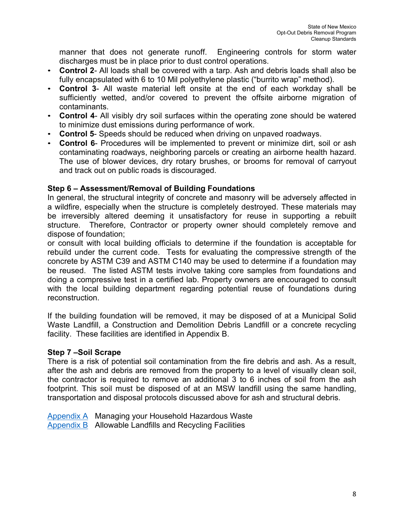manner that does not generate runoff. Engineering controls for storm water discharges must be in place prior to dust control operations.

- **Control 2** All loads shall be covered with a tarp. Ash and debris loads shall also be fully encapsulated with 6 to 10 Mil polyethylene plastic ("burrito wrap" method).
- **Control 3** All waste material left onsite at the end of each workday shall be sufficiently wetted, and/or covered to prevent the offsite airborne migration of contaminants.
- **Control 4** All visibly dry soil surfaces within the operating zone should be watered to minimize dust emissions during performance of work.
- **Control 5** Speeds should be reduced when driving on unpaved roadways.
- **Control 6** Procedures will be implemented to prevent or minimize dirt, soil or ash contaminating roadways, neighboring parcels or creating an airborne health hazard. The use of blower devices, dry rotary brushes, or brooms for removal of carryout and track out on public roads is discouraged.

#### **Step 6 – Assessment/Removal of Building Foundations**

In general, the structural integrity of concrete and masonry will be adversely affected in a wildfire, especially when the structure is completely destroyed. These materials may be irreversibly altered deeming it unsatisfactory for reuse in supporting a rebuilt structure. Therefore, Contractor or property owner should completely remove and dispose of foundation;

or consult with local building officials to determine if the foundation is acceptable for rebuild under the current code. Tests for evaluating the compressive strength of the concrete by ASTM C39 and ASTM C140 may be used to determine if a foundation may be reused. The listed ASTM tests involve taking core samples from foundations and doing a compressive test in a certified lab. Property owners are encouraged to consult with the local building department regarding potential reuse of foundations during reconstruction.

If the building foundation will be removed, it may be disposed of at a Municipal Solid Waste Landfill, a Construction and Demolition Debris Landfill or a concrete recycling facility. These facilities are identified in Appendix B.

#### **Step 7 –Soil Scrape**

There is a risk of potential soil contamination from the fire debris and ash. As a result, after the ash and debris are removed from the property to a level of visually clean soil, the contractor is required to remove an additional 3 to 6 inches of soil from the ash footprint. This soil must be disposed of at an MSW landfill using the same handling, transportation and disposal protocols discussed above for ash and structural debris.

Appendix A Managing your Household Hazardous Waste Appendix B Allowable Landfills and Recycling Facilities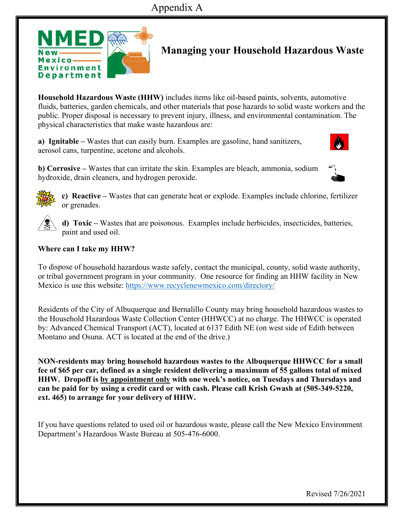

# **Managing your Household Hazardous Waste**

**Household Hazardous Waste (HHW)** includes items like oil-based paints, solvents, automotive fluids, batteries, garden chemicals, and other materials that pose hazards to solid waste workers and the public. Proper disposal is necessary to prevent injury, illness, and environmental contamination. The physical characteristics that make waste hazardous are:

**a) Ignitable –** Wastes that can easily burn. Examples are gasoline, hand sanitizers, aerosol cans, turpentine, acetone and alcohols.

**b) Corrosive –** Wastes that can irritate the skin. Examples are bleach, ammonia, sodium hydroxide, drain cleaners, and hydrogen peroxide.





**c) Reactive –** Wastes that can generate heat or explode. Examples include chlorine, fertilizer or grenades.



**d) Toxic –** Wastes that are poisonous. Examples include herbicides, insecticides, batteries, paint and used oil.

#### **Where can I take my HHW?**

To dispose of household hazardous waste safely, contact the municipal, county, solid waste authority, or tribal government program in your community. One resource for finding an HHW facility in New Mexico is use this website: https://www.recyclenewmexico.com/directory/

Residents of the City of Albuquerque and Bernalillo County may bring household hazardous wastes to the Household Hazardous Waste Collection Center (HHWCC) at no charge. The HHWCC is operated by: Advanced Chemical Transport (ACT), located at 6137 Edith NE (on west side of Edith between Montano and Osuna. ACT is located at the end of the drive.)

**NON-residents may bring household hazardous wastes to the Albuquerque HHWCC for a small fee of \$65 per car, defined as a single resident delivering a maximum of 55 gallons total of mixed HHW. Dropoff is by appointment only with one week's notice, on Tuesdays and Thursdays and can be paid for by using a credit card or with cash. Please call Krish Gwash at (505-349-5220, ext. 465) to arrange for your delivery of HHW.** 

If you have questions related to used oil or hazardous waste, please call the New Mexico Environment Department's Hazardous Waste Bureau at 505-476-6000.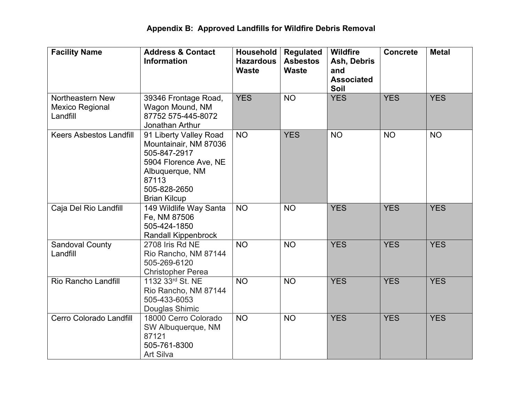| <b>Facility Name</b>                                   | <b>Address &amp; Contact</b><br><b>Information</b>                                                                                                          | Household<br><b>Hazardous</b><br><b>Waste</b> | <b>Regulated</b><br><b>Asbestos</b><br><b>Waste</b> | <b>Wildfire</b><br>Ash, Debris<br>and<br><b>Associated</b><br>Soil | <b>Concrete</b> | <b>Metal</b> |
|--------------------------------------------------------|-------------------------------------------------------------------------------------------------------------------------------------------------------------|-----------------------------------------------|-----------------------------------------------------|--------------------------------------------------------------------|-----------------|--------------|
| Northeastern New<br><b>Mexico Regional</b><br>Landfill | 39346 Frontage Road,<br>Wagon Mound, NM<br>87752 575-445-8072<br>Jonathan Arthur                                                                            | <b>YES</b>                                    | <b>NO</b>                                           | <b>YES</b>                                                         | <b>YES</b>      | <b>YES</b>   |
| <b>Keers Asbestos Landfill</b>                         | 91 Liberty Valley Road<br>Mountainair, NM 87036<br>505-847-2917<br>5904 Florence Ave, NE<br>Albuquerque, NM<br>87113<br>505-828-2650<br><b>Brian Kilcup</b> | <b>NO</b>                                     | <b>YES</b>                                          | <b>NO</b>                                                          | <b>NO</b>       | <b>NO</b>    |
| Caja Del Rio Landfill                                  | 149 Wildlife Way Santa<br>Fe, NM 87506<br>505-424-1850<br><b>Randall Kippenbrock</b>                                                                        | <b>NO</b>                                     | <b>NO</b>                                           | <b>YES</b>                                                         | <b>YES</b>      | <b>YES</b>   |
| <b>Sandoval County</b><br>Landfill                     | 2708 Iris Rd NE<br>Rio Rancho, NM 87144<br>505-269-6120<br><b>Christopher Perea</b>                                                                         | <b>NO</b>                                     | <b>NO</b>                                           | <b>YES</b>                                                         | <b>YES</b>      | <b>YES</b>   |
| Rio Rancho Landfill                                    | 1132 33rd St. NE<br>Rio Rancho, NM 87144<br>505-433-6053<br>Douglas Shimic                                                                                  | <b>NO</b>                                     | <b>NO</b>                                           | <b>YES</b>                                                         | <b>YES</b>      | <b>YES</b>   |
| Cerro Colorado Landfill                                | 18000 Cerro Colorado<br>SW Albuquerque, NM<br>87121<br>505-761-8300<br><b>Art Silva</b>                                                                     | <b>NO</b>                                     | <b>NO</b>                                           | <b>YES</b>                                                         | <b>YES</b>      | <b>YES</b>   |